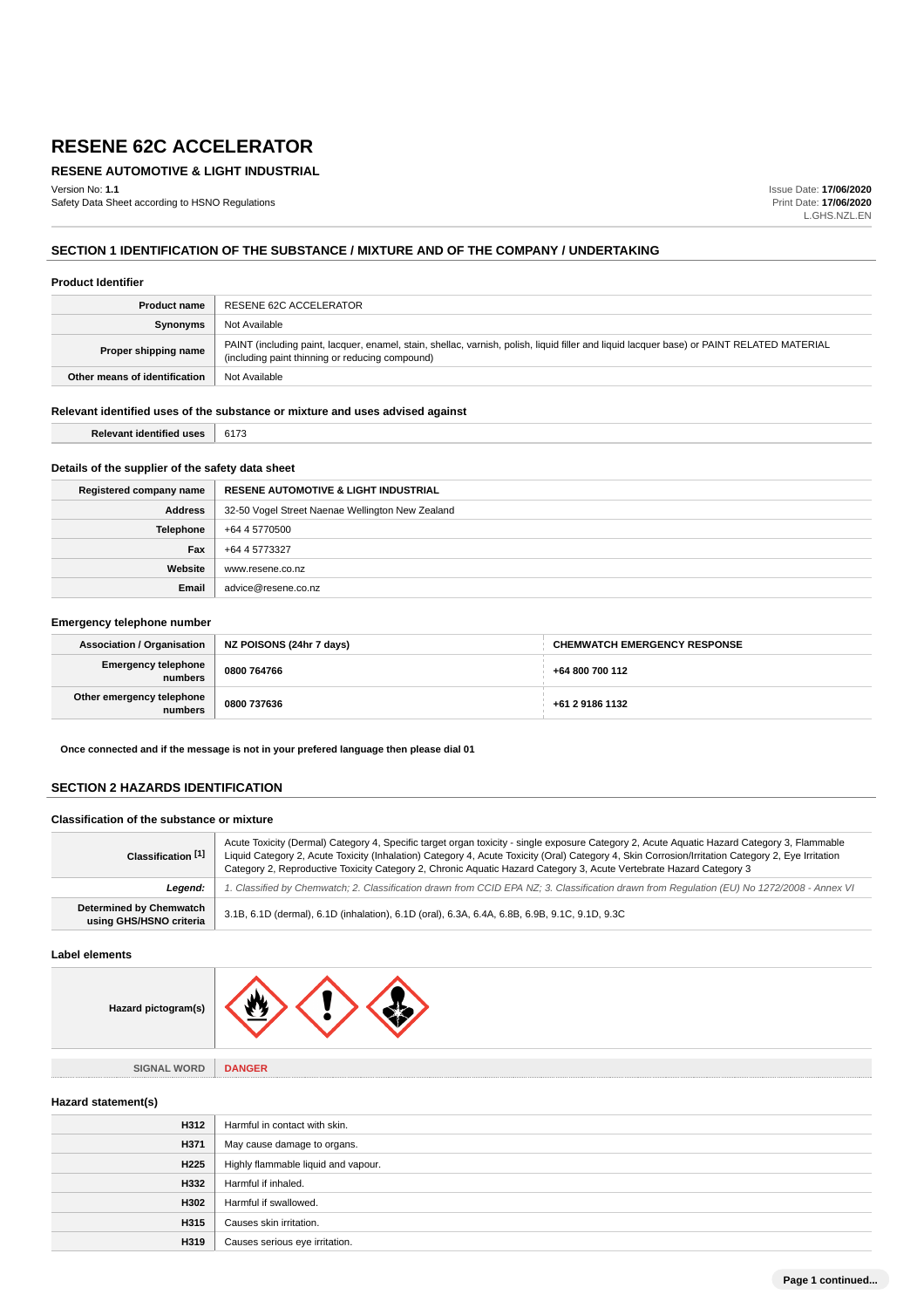## **RESENE AUTOMOTIVE & LIGHT INDUSTRIAL**

Version No: **1.1** Safety Data Sheet according to HSNO Regulations Issue Date: **17/06/2020** Print Date: **17/06/2020** L.GHS.NZL.EN

## **SECTION 1 IDENTIFICATION OF THE SUBSTANCE / MIXTURE AND OF THE COMPANY / UNDERTAKING**

#### **Product Identifier**

| <b>Product name</b>           | RESENE 62C ACCELERATOR                                                                                                                                                                        |
|-------------------------------|-----------------------------------------------------------------------------------------------------------------------------------------------------------------------------------------------|
| <b>Synonyms</b>               | Not Available                                                                                                                                                                                 |
| Proper shipping name          | PAINT (including paint, lacquer, enamel, stain, shellac, varnish, polish, liquid filler and liquid lacquer base) or PAINT RELATED MATERIAL<br>(including paint thinning or reducing compound) |
| Other means of identification | Not Available                                                                                                                                                                                 |

## **Relevant identified uses of the substance or mixture and uses advised against**

| Relevant identified uses   6173 |  |
|---------------------------------|--|
|                                 |  |

## **Details of the supplier of the safety data sheet**

| Registered company name | <b>RESENE AUTOMOTIVE &amp; LIGHT INDUSTRIAL</b>  |
|-------------------------|--------------------------------------------------|
| <b>Address</b>          | 32-50 Vogel Street Naenae Wellington New Zealand |
| Telephone               | +64 4 5770500                                    |
| Fax                     | +64 4 5773327                                    |
| Website                 | www.resene.co.nz                                 |
| Email                   | advice@resene.co.nz                              |

#### **Emergency telephone number**

| Association / Organisation           | NZ POISONS (24hr 7 days) | <b>CHEMWATCH EMERGENCY RESPONSE</b> |
|--------------------------------------|--------------------------|-------------------------------------|
| Emergency telephone<br>numbers       | 0800 764766              | +64 800 700 112                     |
| Other emergency telephone<br>numbers | 0800 737636              | +61 2 9186 1132                     |

**Once connected and if the message is not in your prefered language then please dial 01**

## **SECTION 2 HAZARDS IDENTIFICATION**

#### **Classification of the substance or mixture**

| Classification [1]                                        | Acute Toxicity (Dermal) Category 4, Specific target organ toxicity - single exposure Category 2, Acute Aguatic Hazard Category 3, Flammable<br>Liquid Category 2, Acute Toxicity (Inhalation) Category 4, Acute Toxicity (Oral) Category 4, Skin Corrosion/Irritation Category 2, Eye Irritation<br>Category 2, Reproductive Toxicity Category 2, Chronic Aquatic Hazard Category 3, Acute Vertebrate Hazard Category 3 |  |
|-----------------------------------------------------------|-------------------------------------------------------------------------------------------------------------------------------------------------------------------------------------------------------------------------------------------------------------------------------------------------------------------------------------------------------------------------------------------------------------------------|--|
| Leaend:                                                   | 1. Classified by Chemwatch; 2. Classification drawn from CCID EPA NZ; 3. Classification drawn from Regulation (EU) No 1272/2008 - Annex VI                                                                                                                                                                                                                                                                              |  |
| <b>Determined by Chemwatch</b><br>using GHS/HSNO criteria | 3.1B, 6.1D (dermal), 6.1D (inhalation), 6.1D (oral), 6.3A, 6.4A, 6.8B, 6.9B, 9.1C, 9.1D, 9.3C                                                                                                                                                                                                                                                                                                                           |  |

#### **Label elements**

| Hazard pictogram(s)           |               |
|-------------------------------|---------------|
|                               |               |
| <b>SIGNAL WORD</b><br><b></b> | <b>DANGER</b> |

## **Hazard statement(s)**

| H312 | Harmful in contact with skin.       |
|------|-------------------------------------|
| H371 | May cause damage to organs.         |
| H225 | Highly flammable liquid and vapour. |
| H332 | Harmful if inhaled.                 |
| H302 | Harmful if swallowed.               |
| H315 | Causes skin irritation.             |
| H319 | Causes serious eye irritation.      |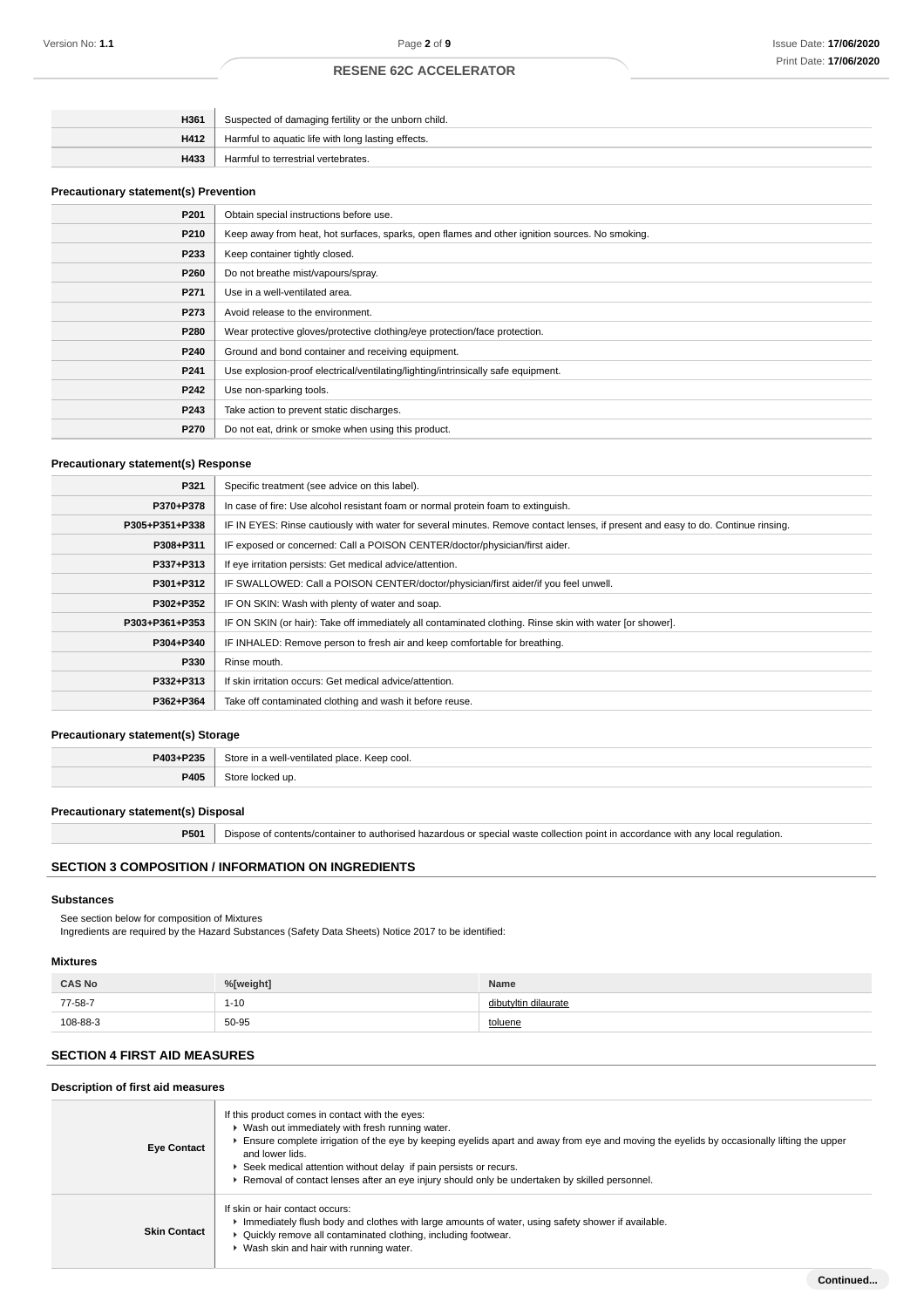| H361 | Suspected of damaging fertility or the unborn child. |
|------|------------------------------------------------------|
| H412 | Harmful to aquatic life with long lasting effects.   |
| H433 | Harmful to terrestrial vertebrates.                  |

#### **Precautionary statement(s) Prevention**

| P201 | Obtain special instructions before use.                                                        |
|------|------------------------------------------------------------------------------------------------|
| P210 | Keep away from heat, hot surfaces, sparks, open flames and other ignition sources. No smoking. |
| P233 | Keep container tightly closed.                                                                 |
| P260 | Do not breathe mist/vapours/spray.                                                             |
| P271 | Use in a well-ventilated area.                                                                 |
| P273 | Avoid release to the environment.                                                              |
| P280 | Wear protective gloves/protective clothing/eye protection/face protection.                     |
| P240 | Ground and bond container and receiving equipment.                                             |
| P241 | Use explosion-proof electrical/ventilating/lighting/intrinsically safe equipment.              |
| P242 | Use non-sparking tools.                                                                        |
| P243 | Take action to prevent static discharges.                                                      |
| P270 | Do not eat, drink or smoke when using this product.                                            |

## **Precautionary statement(s) Response**

| P321           | Specific treatment (see advice on this label).                                                                                   |  |
|----------------|----------------------------------------------------------------------------------------------------------------------------------|--|
| P370+P378      | In case of fire: Use alcohol resistant foam or normal protein foam to extinguish.                                                |  |
| P305+P351+P338 | IF IN EYES: Rinse cautiously with water for several minutes. Remove contact lenses, if present and easy to do. Continue rinsing. |  |
| P308+P311      | IF exposed or concerned: Call a POISON CENTER/doctor/physician/first aider.                                                      |  |
| P337+P313      | If eye irritation persists: Get medical advice/attention.                                                                        |  |
| P301+P312      | IF SWALLOWED: Call a POISON CENTER/doctor/physician/first aider/if you feel unwell.                                              |  |
| P302+P352      | IF ON SKIN: Wash with plenty of water and soap.                                                                                  |  |
| P303+P361+P353 | IF ON SKIN (or hair): Take off immediately all contaminated clothing. Rinse skin with water [or shower].                         |  |
| P304+P340      | IF INHALED: Remove person to fresh air and keep comfortable for breathing.                                                       |  |
| P330           | Rinse mouth.                                                                                                                     |  |
| P332+P313      | If skin irritation occurs: Get medical advice/attention.                                                                         |  |
| P362+P364      | Take off contaminated clothing and wash it before reuse.                                                                         |  |

## **Precautionary statement(s) Storage**

| P403+P235 | Store in<br>'n a well-ventilated place. Keep cool. |
|-----------|----------------------------------------------------|
| P405      | :ked up                                            |

## **Precautionary statement(s) Disposal**

**P501** Dispose of contents/container to authorised hazardous or special waste collection point in accordance with any local regulation.

## **SECTION 3 COMPOSITION / INFORMATION ON INGREDIENTS**

#### **Substances**

See section below for composition of Mixtures

Ingredients are required by the Hazard Substances (Safety Data Sheets) Notice 2017 to be identified:

## **Mixtures**

| <b>CAS No</b> | %[weight] | Name                 |
|---------------|-----------|----------------------|
| 77-58-7       | 1-10      | dibutyltin dilaurate |
| 108-88-3      | 50-95     | toluene              |

## **SECTION 4 FIRST AID MEASURES**

## **Description of first aid measures**

| <b>Eye Contact</b>  | If this product comes in contact with the eyes:<br>▶ Wash out immediately with fresh running water.<br>Ensure complete irrigation of the eye by keeping eyelids apart and away from eye and moving the eyelids by occasionally lifting the upper<br>and lower lids.<br>▶ Seek medical attention without delay if pain persists or recurs.<br>▶ Removal of contact lenses after an eye injury should only be undertaken by skilled personnel. |
|---------------------|----------------------------------------------------------------------------------------------------------------------------------------------------------------------------------------------------------------------------------------------------------------------------------------------------------------------------------------------------------------------------------------------------------------------------------------------|
| <b>Skin Contact</b> | If skin or hair contact occurs:<br>Immediately flush body and clothes with large amounts of water, using safety shower if available.<br>• Quickly remove all contaminated clothing, including footwear.<br>▶ Wash skin and hair with running water.                                                                                                                                                                                          |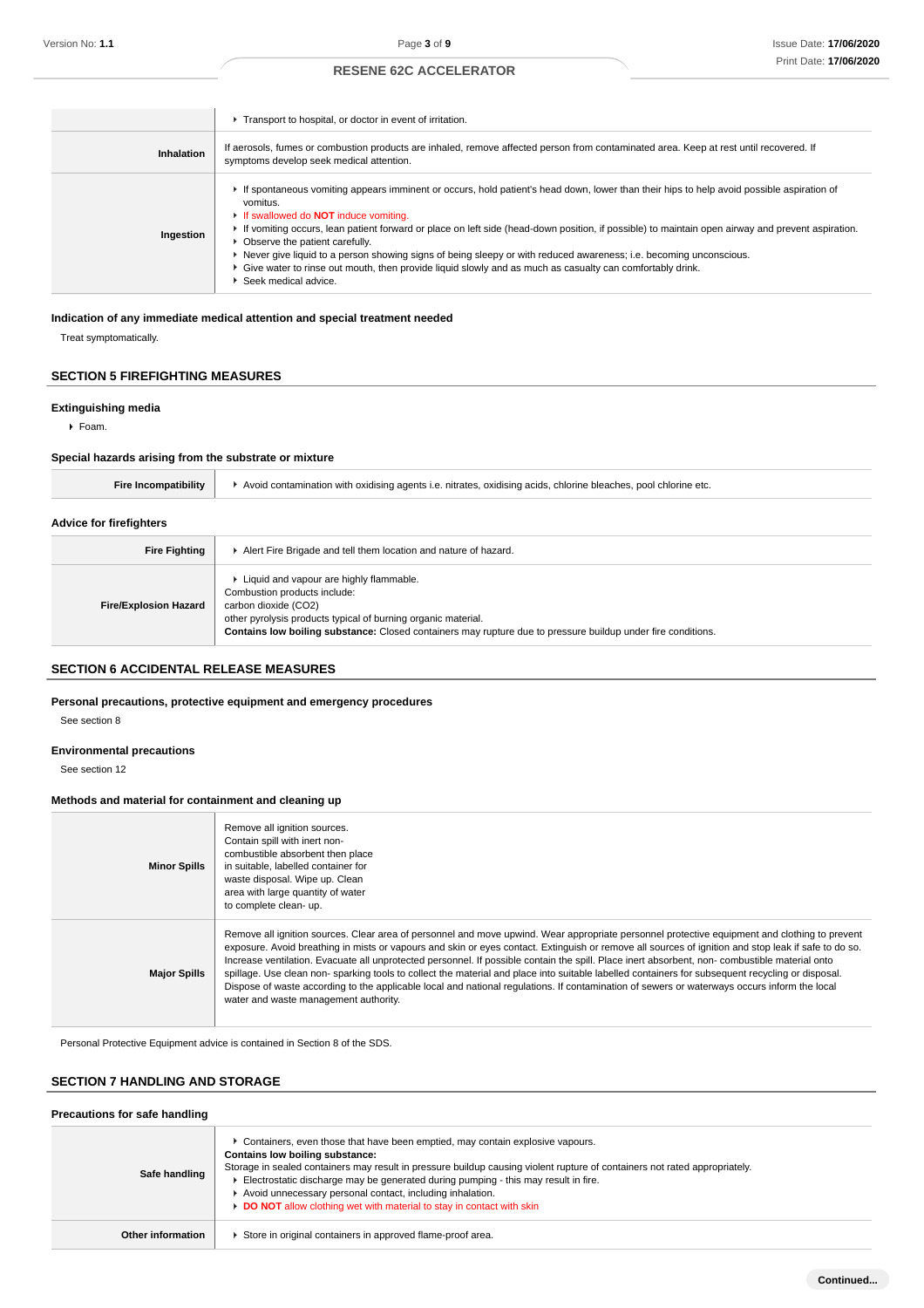|            | Transport to hospital, or doctor in event of irritation.                                                                                                                                                                                                                                                                                                                                                                                                                                                                                                                                                                                                   |
|------------|------------------------------------------------------------------------------------------------------------------------------------------------------------------------------------------------------------------------------------------------------------------------------------------------------------------------------------------------------------------------------------------------------------------------------------------------------------------------------------------------------------------------------------------------------------------------------------------------------------------------------------------------------------|
| Inhalation | If aerosols, fumes or combustion products are inhaled, remove affected person from contaminated area. Keep at rest until recovered. If<br>symptoms develop seek medical attention.                                                                                                                                                                                                                                                                                                                                                                                                                                                                         |
| Ingestion  | If spontaneous vomiting appears imminent or occurs, hold patient's head down, lower than their hips to help avoid possible aspiration of<br>vomitus.<br>If swallowed do <b>NOT</b> induce vomiting.<br>If vomiting occurs, lean patient forward or place on left side (head-down position, if possible) to maintain open airway and prevent aspiration.<br>• Observe the patient carefully.<br>► Never give liquid to a person showing signs of being sleepy or with reduced awareness; i.e. becoming unconscious.<br>► Give water to rinse out mouth, then provide liquid slowly and as much as casualty can comfortably drink.<br>▶ Seek medical advice. |

## **Indication of any immediate medical attention and special treatment needed**

Treat symptomatically.

## **SECTION 5 FIREFIGHTING MEASURES**

## **Extinguishing media**

Foam.

#### **Special hazards arising from the substrate or mixture**

| $\cdot$ Avoid contamination with oxidising agents i.e. nitrates, oxidising acids, chlorine bleaches, pool chlorine etc. |  |
|-------------------------------------------------------------------------------------------------------------------------|--|
|-------------------------------------------------------------------------------------------------------------------------|--|

## **Advice for firefighters**

| <b>Fire Fighting</b>         | Alert Fire Brigade and tell them location and nature of hazard.                                                                                                                                                                                                                    |
|------------------------------|------------------------------------------------------------------------------------------------------------------------------------------------------------------------------------------------------------------------------------------------------------------------------------|
| <b>Fire/Explosion Hazard</b> | ► Liquid and vapour are highly flammable.<br>Combustion products include:<br>carbon dioxide (CO2)<br>other pyrolysis products typical of burning organic material.<br>Contains low boiling substance: Closed containers may rupture due to pressure buildup under fire conditions. |

## **SECTION 6 ACCIDENTAL RELEASE MEASURES**

## **Personal precautions, protective equipment and emergency procedures**

See section 8

#### **Environmental precautions**

See section 12

## **Methods and material for containment and cleaning up**

| <b>Minor Spills</b> | Remove all ignition sources.<br>Contain spill with inert non-<br>combustible absorbent then place<br>in suitable, labelled container for<br>waste disposal. Wipe up. Clean<br>area with large quantity of water<br>to complete clean- up.                                                                                                                                                                                                                                                                                                                                                                                                                                                                                                                                                           |
|---------------------|-----------------------------------------------------------------------------------------------------------------------------------------------------------------------------------------------------------------------------------------------------------------------------------------------------------------------------------------------------------------------------------------------------------------------------------------------------------------------------------------------------------------------------------------------------------------------------------------------------------------------------------------------------------------------------------------------------------------------------------------------------------------------------------------------------|
| <b>Major Spills</b> | Remove all ignition sources. Clear area of personnel and move upwind. Wear appropriate personnel protective equipment and clothing to prevent<br>exposure. Avoid breathing in mists or vapours and skin or eyes contact. Extinguish or remove all sources of ignition and stop leak if safe to do so.<br>Increase ventilation. Evacuate all unprotected personnel. If possible contain the spill. Place inert absorbent, non-combustible material onto<br>spillage. Use clean non-sparking tools to collect the material and place into suitable labelled containers for subsequent recycling or disposal.<br>Dispose of waste according to the applicable local and national regulations. If contamination of sewers or waterways occurs inform the local<br>water and waste management authority. |

Personal Protective Equipment advice is contained in Section 8 of the SDS.

## **SECTION 7 HANDLING AND STORAGE**

**Precautions for safe handling**

| Precautions for safe nandling |                                                                                                                                                                                                                                                                                                                                                                                                                                                                             |  |  |  |
|-------------------------------|-----------------------------------------------------------------------------------------------------------------------------------------------------------------------------------------------------------------------------------------------------------------------------------------------------------------------------------------------------------------------------------------------------------------------------------------------------------------------------|--|--|--|
| Safe handling                 | ► Containers, even those that have been emptied, may contain explosive vapours.<br>Contains low boiling substance:<br>Storage in sealed containers may result in pressure buildup causing violent rupture of containers not rated appropriately.<br>Electrostatic discharge may be generated during pumping - this may result in fire.<br>Avoid unnecessary personal contact, including inhalation.<br>DO NOT allow clothing wet with material to stay in contact with skin |  |  |  |
| Other information             | Store in original containers in approved flame-proof area.                                                                                                                                                                                                                                                                                                                                                                                                                  |  |  |  |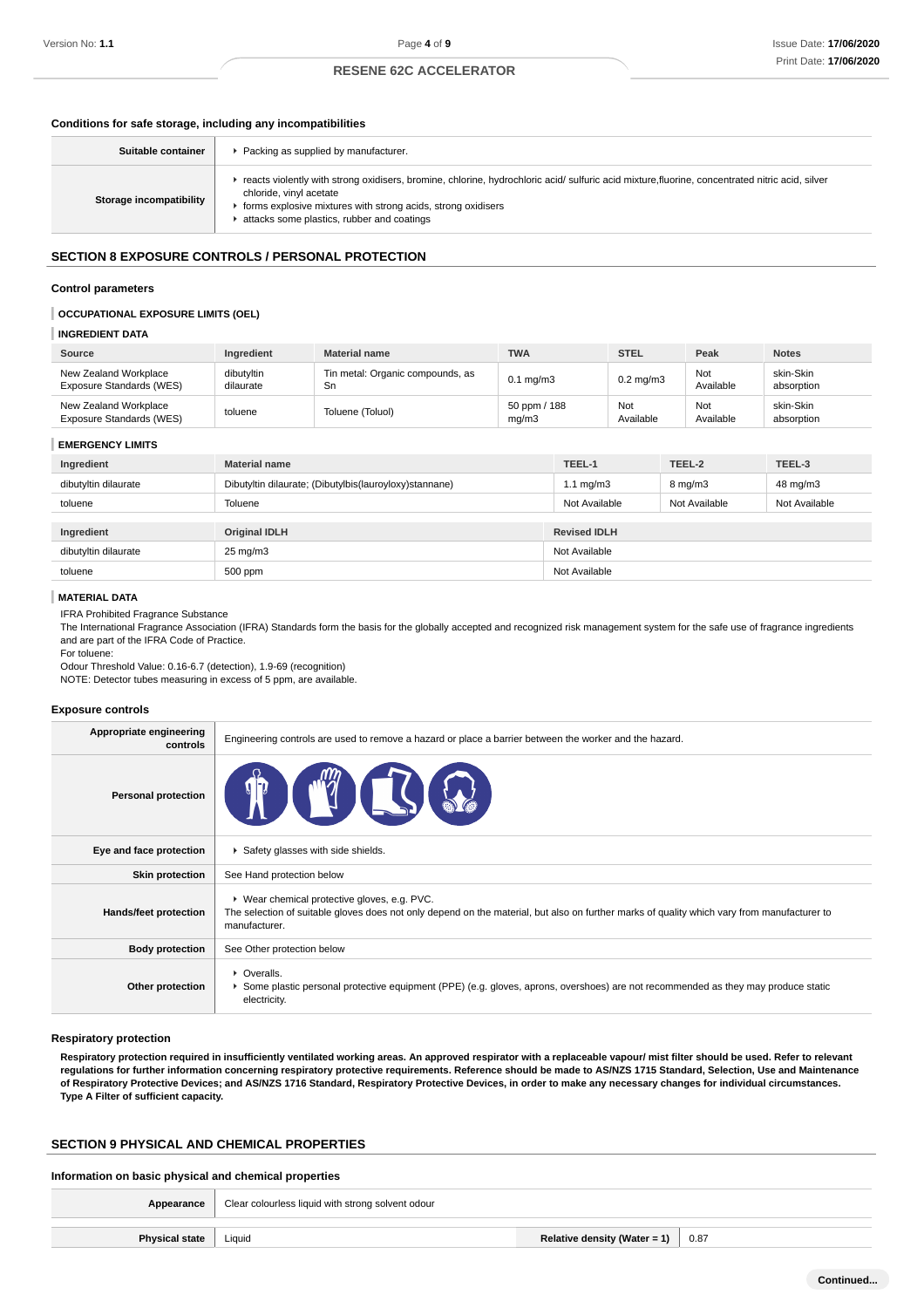## **Conditions for safe storage, including any incompatibilities**

| Suitable container      | Packing as supplied by manufacturer.                                                                                                                                                                                                                                                    |
|-------------------------|-----------------------------------------------------------------------------------------------------------------------------------------------------------------------------------------------------------------------------------------------------------------------------------------|
| Storage incompatibility | reacts violently with strong oxidisers, bromine, chlorine, hydrochloric acid/sulfuric acid mixture, fluorine, concentrated nitric acid, silver<br>chloride, vinyl acetate<br>forms explosive mixtures with strong acids, strong oxidisers<br>attacks some plastics, rubber and coatings |

## **SECTION 8 EXPOSURE CONTROLS / PERSONAL PROTECTION**

#### **Control parameters**

## **OCCUPATIONAL EXPOSURE LIMITS (OEL)**

#### **INGREDIENT DATA**

| Source                                            | Ingredient              | <b>Material name</b>                   | <b>TWA</b>            | <b>STEL</b>      | Peak             | <b>Notes</b>            |
|---------------------------------------------------|-------------------------|----------------------------------------|-----------------------|------------------|------------------|-------------------------|
| New Zealand Workplace<br>Exposure Standards (WES) | dibutyltin<br>dilaurate | Tin metal: Organic compounds, as<br>Sn | $0.1 \text{ mg/m}$ 3  | $0.2$ mg/m $3$   | Not<br>Available | skin-Skin<br>absorption |
| New Zealand Workplace<br>Exposure Standards (WES) | toluene                 | Toluene (Toluol)                       | 50 ppm / 188<br>mq/m3 | Not<br>Available | Not<br>Available | skin-Skin<br>absorption |

#### **EMERGENCY LIMITS**

| Ingredient           | <b>Material name</b>                                   | TEEL-1              | TEEL-2             | TEEL-3        |
|----------------------|--------------------------------------------------------|---------------------|--------------------|---------------|
| dibutyltin dilaurate | Dibutyltin dilaurate; (Dibutylbis(lauroyloxy)stannane) | $1.1 \text{ mg/m}$  | $8 \text{ mg/m}$ 3 | 48 mg/m3      |
| toluene              | Toluene                                                | Not Available       | Not Available      | Not Available |
|                      |                                                        |                     |                    |               |
| Ingredient           | <b>Original IDLH</b>                                   | <b>Revised IDLH</b> |                    |               |
| dibutyltin dilaurate | $25 \text{ mg/m}$                                      | Not Available       |                    |               |
| toluene              | 500 ppm                                                | Not Available       |                    |               |

#### **MATERIAL DATA**

IFRA Prohibited Fragrance Substance

The International Fragrance Association (IFRA) Standards form the basis for the globally accepted and recognized risk management system for the safe use of fragrance ingredients and are part of the IFRA Code of Practice.

For toluene:

Odour Threshold Value: 0.16-6.7 (detection), 1.9-69 (recognition)

NOTE: Detector tubes measuring in excess of 5 ppm, are available.

#### **Exposure controls**

| Appropriate engineering<br>controls | Engineering controls are used to remove a hazard or place a barrier between the worker and the hazard.                                                                                                       |  |  |  |
|-------------------------------------|--------------------------------------------------------------------------------------------------------------------------------------------------------------------------------------------------------------|--|--|--|
| <b>Personal protection</b>          |                                                                                                                                                                                                              |  |  |  |
| Eye and face protection             | Safety glasses with side shields.                                                                                                                                                                            |  |  |  |
| <b>Skin protection</b>              | See Hand protection below                                                                                                                                                                                    |  |  |  |
| Hands/feet protection               | ▶ Wear chemical protective gloves, e.g. PVC.<br>The selection of suitable gloves does not only depend on the material, but also on further marks of quality which vary from manufacturer to<br>manufacturer. |  |  |  |
| <b>Body protection</b>              | See Other protection below                                                                                                                                                                                   |  |  |  |
| Other protection                    | • Overalls.<br>▶ Some plastic personal protective equipment (PPE) (e.g. gloves, aprons, overshoes) are not recommended as they may produce static<br>electricity.                                            |  |  |  |

#### **Respiratory protection**

**Respiratory protection required in insufficiently ventilated working areas. An approved respirator with a replaceable vapour/ mist filter should be used. Refer to relevant regulations for further information concerning respiratory protective requirements. Reference should be made to AS/NZS 1715 Standard, Selection, Use and Maintenance of Respiratory Protective Devices; and AS/NZS 1716 Standard, Respiratory Protective Devices, in order to make any necessary changes for individual circumstances. Type A Filter of sufficient capacity.**

## **SECTION 9 PHYSICAL AND CHEMICAL PROPERTIES**

#### **Information on basic physical and chemical properties**

| Appearance            | Clear colourless liquid with strong solvent odour |                                      |      |  |
|-----------------------|---------------------------------------------------|--------------------------------------|------|--|
| <b>Physical state</b> | Liquid                                            | Relative density (Water = 1) $\vert$ | 0.87 |  |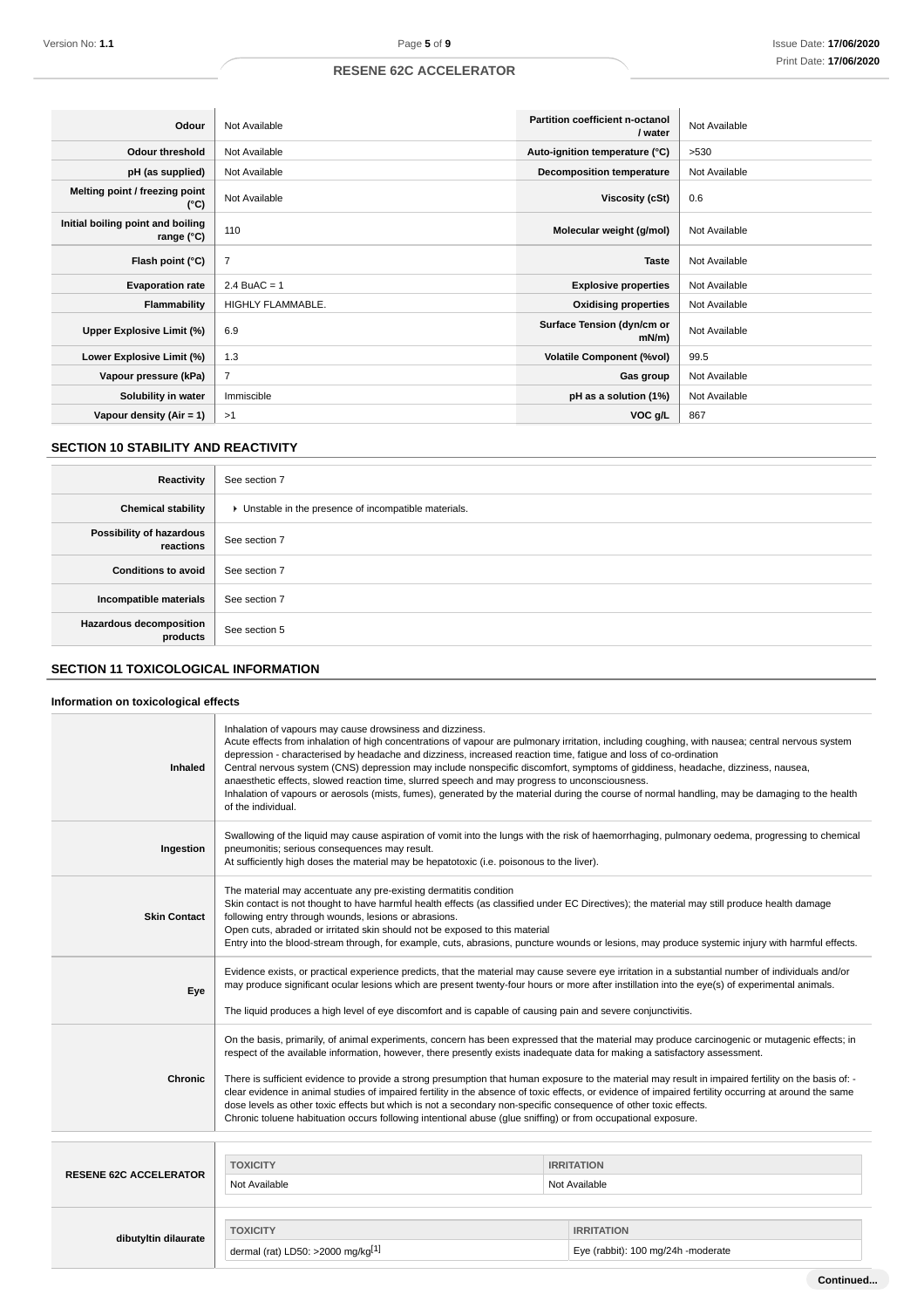| Odour                                                    | Not Available     | Partition coefficient n-octanol<br>/ water | Not Available |
|----------------------------------------------------------|-------------------|--------------------------------------------|---------------|
| <b>Odour threshold</b>                                   | Not Available     | Auto-ignition temperature (°C)             | >530          |
| pH (as supplied)                                         | Not Available     | <b>Decomposition temperature</b>           | Not Available |
| Melting point / freezing point<br>(°C)                   | Not Available     | Viscosity (cSt)                            | 0.6           |
| Initial boiling point and boiling<br>range $(^{\circ}C)$ | 110               | Molecular weight (g/mol)                   | Not Available |
| Flash point (°C)                                         | $\overline{7}$    | <b>Taste</b>                               | Not Available |
| <b>Evaporation rate</b>                                  | $2.4$ BuAC = 1    | <b>Explosive properties</b>                | Not Available |
| Flammability                                             | HIGHLY FLAMMABLE. | <b>Oxidising properties</b>                | Not Available |
| Upper Explosive Limit (%)                                | 6.9               | Surface Tension (dyn/cm or<br>mN/m         | Not Available |
| Lower Explosive Limit (%)                                | 1.3               | <b>Volatile Component (%vol)</b>           | 99.5          |
| Vapour pressure (kPa)                                    | $\overline{7}$    | Gas group                                  | Not Available |
| Solubility in water                                      | Immiscible        | pH as a solution (1%)                      | Not Available |
| Vapour density $(Air = 1)$                               | >1                | VOC g/L                                    | 867           |

## **SECTION 10 STABILITY AND REACTIVITY**

| Reactivity                                 | See section 7                                         |
|--------------------------------------------|-------------------------------------------------------|
| <b>Chemical stability</b>                  | • Unstable in the presence of incompatible materials. |
| Possibility of hazardous<br>reactions      | See section 7                                         |
| <b>Conditions to avoid</b>                 | See section 7                                         |
| Incompatible materials                     | See section 7                                         |
| <b>Hazardous decomposition</b><br>products | See section 5                                         |

## **SECTION 11 TOXICOLOGICAL INFORMATION**

## **Information on toxicological effects**

| Inhaled                       | Inhalation of vapours may cause drowsiness and dizziness.<br>Acute effects from inhalation of high concentrations of vapour are pulmonary irritation, including coughing, with nausea; central nervous system<br>depression - characterised by headache and dizziness, increased reaction time, fatique and loss of co-ordination<br>Central nervous system (CNS) depression may include nonspecific discomfort, symptoms of giddiness, headache, dizziness, nausea,<br>anaesthetic effects, slowed reaction time, slurred speech and may progress to unconsciousness.<br>Inhalation of vapours or aerosols (mists, fumes), generated by the material during the course of normal handling, may be damaging to the health<br>of the individual.                                                                                      |                                                         |  |  |
|-------------------------------|--------------------------------------------------------------------------------------------------------------------------------------------------------------------------------------------------------------------------------------------------------------------------------------------------------------------------------------------------------------------------------------------------------------------------------------------------------------------------------------------------------------------------------------------------------------------------------------------------------------------------------------------------------------------------------------------------------------------------------------------------------------------------------------------------------------------------------------|---------------------------------------------------------|--|--|
| Ingestion                     | Swallowing of the liquid may cause aspiration of vomit into the lungs with the risk of haemorrhaging, pulmonary oedema, progressing to chemical<br>pneumonitis; serious consequences may result.<br>At sufficiently high doses the material may be hepatotoxic (i.e. poisonous to the liver).                                                                                                                                                                                                                                                                                                                                                                                                                                                                                                                                        |                                                         |  |  |
| <b>Skin Contact</b>           | The material may accentuate any pre-existing dermatitis condition<br>Skin contact is not thought to have harmful health effects (as classified under EC Directives); the material may still produce health damage<br>following entry through wounds, lesions or abrasions.<br>Open cuts, abraded or irritated skin should not be exposed to this material<br>Entry into the blood-stream through, for example, cuts, abrasions, puncture wounds or lesions, may produce systemic injury with harmful effects.                                                                                                                                                                                                                                                                                                                        |                                                         |  |  |
| Eye                           | Evidence exists, or practical experience predicts, that the material may cause severe eye irritation in a substantial number of individuals and/or<br>may produce significant ocular lesions which are present twenty-four hours or more after instillation into the eye(s) of experimental animals.<br>The liquid produces a high level of eye discomfort and is capable of causing pain and severe conjunctivitis.                                                                                                                                                                                                                                                                                                                                                                                                                 |                                                         |  |  |
| <b>Chronic</b>                | On the basis, primarily, of animal experiments, concern has been expressed that the material may produce carcinogenic or mutagenic effects; in<br>respect of the available information, however, there presently exists inadequate data for making a satisfactory assessment.<br>There is sufficient evidence to provide a strong presumption that human exposure to the material may result in impaired fertility on the basis of: -<br>clear evidence in animal studies of impaired fertility in the absence of toxic effects, or evidence of impaired fertility occurring at around the same<br>dose levels as other toxic effects but which is not a secondary non-specific consequence of other toxic effects.<br>Chronic toluene habituation occurs following intentional abuse (glue sniffing) or from occupational exposure. |                                                         |  |  |
| <b>RESENE 62C ACCELERATOR</b> | <b>TOXICITY</b><br>Not Available                                                                                                                                                                                                                                                                                                                                                                                                                                                                                                                                                                                                                                                                                                                                                                                                     | <b>IRRITATION</b><br>Not Available                      |  |  |
| dibutyltin dilaurate          | <b>TOXICITY</b><br>dermal (rat) LD50: >2000 mg/kg <sup>[1]</sup>                                                                                                                                                                                                                                                                                                                                                                                                                                                                                                                                                                                                                                                                                                                                                                     | <b>IRRITATION</b><br>Eye (rabbit): 100 mg/24h -moderate |  |  |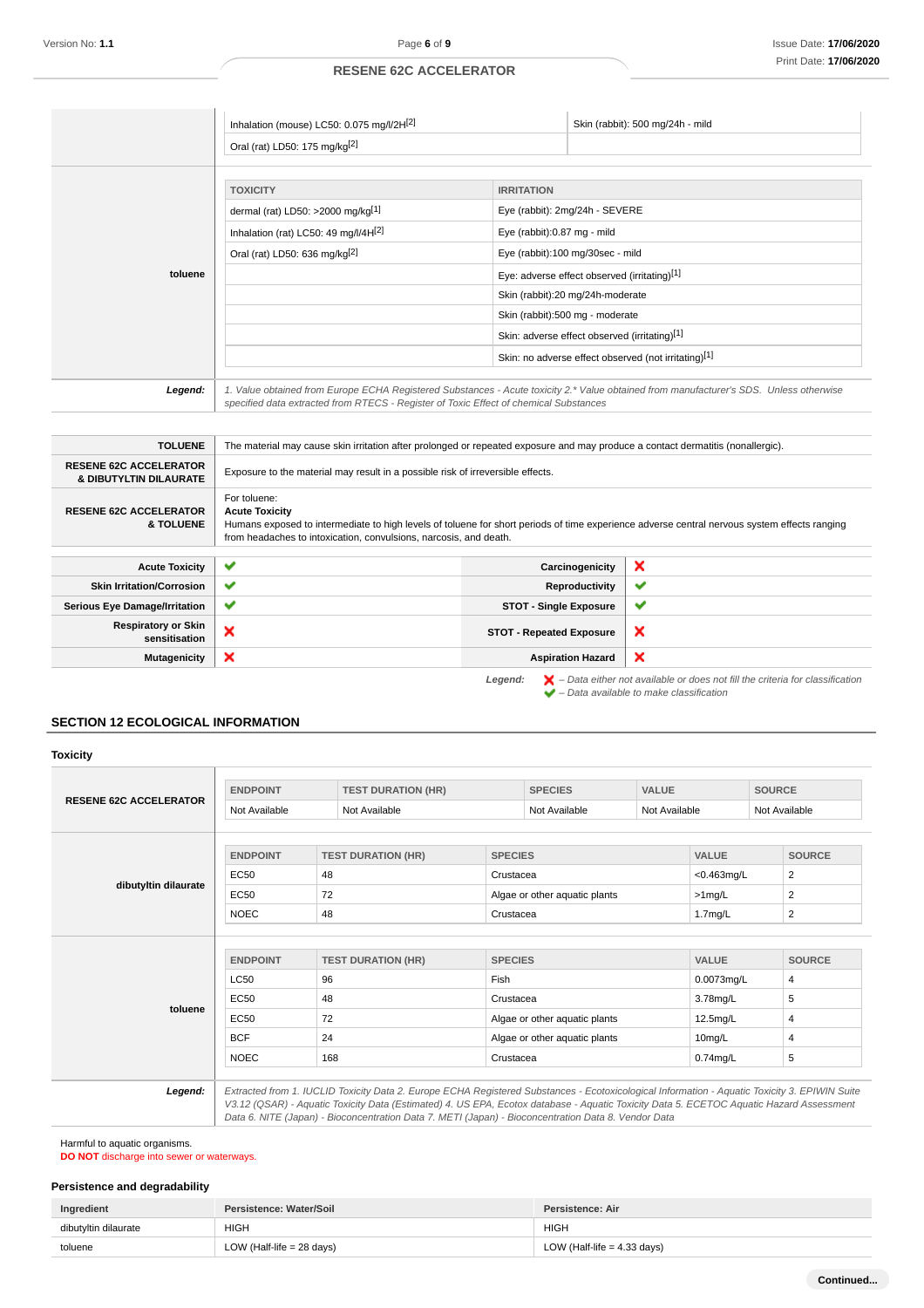|         | Inhalation (mouse) LC50: 0.075 mg/l/2H[2]<br>Oral (rat) LD50: 175 mg/kg <sup>[2]</sup>                                                    |                                                  | Skin (rabbit): 500 mg/24h - mild                                                                                                         |
|---------|-------------------------------------------------------------------------------------------------------------------------------------------|--------------------------------------------------|------------------------------------------------------------------------------------------------------------------------------------------|
|         | <b>TOXICITY</b><br>dermal (rat) LD50: >2000 mg/kg[1]<br>Inhalation (rat) LC50: 49 mg/l/4H[2]<br>Oral (rat) LD50: 636 mg/kg <sup>[2]</sup> | <b>IRRITATION</b><br>Eye (rabbit):0.87 mg - mild | Eye (rabbit): 2mg/24h - SEVERE<br>Eye (rabbit):100 mg/30sec - mild                                                                       |
| toluene |                                                                                                                                           |                                                  | Eye: adverse effect observed (irritating)[1]<br>Skin (rabbit):20 mg/24h-moderate                                                         |
|         |                                                                                                                                           |                                                  | Skin (rabbit):500 mg - moderate<br>Skin: adverse effect observed (irritating)[1]<br>Skin: no adverse effect observed (not irritating)[1] |
| Legend: | specified data extracted from RTECS - Register of Toxic Effect of chemical Substances                                                     |                                                  | 1. Value obtained from Europe ECHA Registered Substances - Acute toxicity 2.* Value obtained from manufacturer's SDS. Unless otherwise   |

| <b>TOLUENE</b>                                          | The material may cause skin irritation after prolonged or repeated exposure and may produce a contact dermatitis (nonallergic).                                                                                                                            |                                 |                                                                                                                                                                                                                                                                                                                                                                                                                                                                                            |
|---------------------------------------------------------|------------------------------------------------------------------------------------------------------------------------------------------------------------------------------------------------------------------------------------------------------------|---------------------------------|--------------------------------------------------------------------------------------------------------------------------------------------------------------------------------------------------------------------------------------------------------------------------------------------------------------------------------------------------------------------------------------------------------------------------------------------------------------------------------------------|
| <b>RESENE 62C ACCELERATOR</b><br>& DIBUTYLTIN DILAURATE | Exposure to the material may result in a possible risk of irreversible effects.                                                                                                                                                                            |                                 |                                                                                                                                                                                                                                                                                                                                                                                                                                                                                            |
| <b>RESENE 62C ACCELERATOR</b><br><b>&amp; TOLUENE</b>   | For toluene:<br><b>Acute Toxicity</b><br>Humans exposed to intermediate to high levels of toluene for short periods of time experience adverse central nervous system effects ranging<br>from headaches to intoxication, convulsions, narcosis, and death. |                                 |                                                                                                                                                                                                                                                                                                                                                                                                                                                                                            |
|                                                         |                                                                                                                                                                                                                                                            |                                 |                                                                                                                                                                                                                                                                                                                                                                                                                                                                                            |
| <b>Acute Toxicity</b>                                   | ✔                                                                                                                                                                                                                                                          | Carcinogenicity                 | ×                                                                                                                                                                                                                                                                                                                                                                                                                                                                                          |
| <b>Skin Irritation/Corrosion</b>                        | ✔                                                                                                                                                                                                                                                          | Reproductivity                  | ✔                                                                                                                                                                                                                                                                                                                                                                                                                                                                                          |
| <b>Serious Eye Damage/Irritation</b>                    | $\checkmark$                                                                                                                                                                                                                                               | <b>STOT - Single Exposure</b>   | ✔                                                                                                                                                                                                                                                                                                                                                                                                                                                                                          |
| <b>Respiratory or Skin</b><br>sensitisation             | ×                                                                                                                                                                                                                                                          | <b>STOT - Repeated Exposure</b> | $\boldsymbol{\mathsf{x}}$                                                                                                                                                                                                                                                                                                                                                                                                                                                                  |
| <b>Mutagenicity</b>                                     | ×                                                                                                                                                                                                                                                          | <b>Aspiration Hazard</b>        | $\boldsymbol{\mathsf{x}}$                                                                                                                                                                                                                                                                                                                                                                                                                                                                  |
|                                                         |                                                                                                                                                                                                                                                            |                                 | $\blacksquare$ $\blacksquare$ $\blacksquare$ $\blacksquare$ $\blacksquare$ $\blacksquare$ $\blacksquare$ $\blacksquare$ $\blacksquare$ $\blacksquare$ $\blacksquare$ $\blacksquare$ $\blacksquare$ $\blacksquare$ $\blacksquare$ $\blacksquare$ $\blacksquare$ $\blacksquare$ $\blacksquare$ $\blacksquare$ $\blacksquare$ $\blacksquare$ $\blacksquare$ $\blacksquare$ $\blacksquare$ $\blacksquare$ $\blacksquare$ $\blacksquare$ $\blacksquare$ $\blacksquare$ $\blacksquare$ $\blacks$ |

**Legend:**  $\mathbf{X}$  – Data either not available or does not fill the criteria for classification – Data available to make classification

## **SECTION 12 ECOLOGICAL INFORMATION**

## **Toxicity**

| <b>RESENE 62C ACCELERATOR</b> | <b>ENDPOINT</b> | <b>TEST DURATION (HR)</b> | <b>SPECIES</b>                | <b>VALUE</b>  | <b>SOURCE</b>  |
|-------------------------------|-----------------|---------------------------|-------------------------------|---------------|----------------|
|                               | Not Available   | Not Available             | Not Available                 | Not Available | Not Available  |
|                               |                 |                           |                               |               |                |
|                               | <b>ENDPOINT</b> | <b>TEST DURATION (HR)</b> | <b>SPECIES</b>                | <b>VALUE</b>  | <b>SOURCE</b>  |
|                               | EC50            | 48                        | Crustacea                     | $<$ 0.463mg/L | 2              |
| dibutyltin dilaurate          | EC50            | 72                        | Algae or other aquatic plants | $>1$ mg/L     | 2              |
|                               | <b>NOEC</b>     | 48                        | Crustacea                     | 1.7mg/L       | 2              |
|                               |                 |                           |                               |               |                |
|                               | <b>ENDPOINT</b> | <b>TEST DURATION (HR)</b> | <b>SPECIES</b>                | <b>VALUE</b>  | <b>SOURCE</b>  |
|                               | <b>LC50</b>     | 96                        | Fish                          | 0.0073mg/L    | $\overline{4}$ |
|                               | <b>EC50</b>     | 48                        | Crustacea                     | 3.78mg/L      | 5              |
| toluene                       |                 |                           |                               |               |                |
|                               | <b>EC50</b>     | 72                        | Algae or other aquatic plants | 12.5mg/L      | 4              |
|                               | <b>BCF</b>      | 24                        | Algae or other aquatic plants | $10$ mg/L     | 4              |

Harmful to aquatic organisms.

**DO NOT** discharge into sewer or waterways.

## **Persistence and degradability**

| Ingredient           | Persistence: Water/Soil   | Persistence: Air              |
|----------------------|---------------------------|-------------------------------|
| dibutvltin dilaurate | <b>HIGH</b>               | <b>HIGH</b>                   |
| toluene              | LOW (Half-life = 28 days) | LOW (Half-life $=$ 4.33 days) |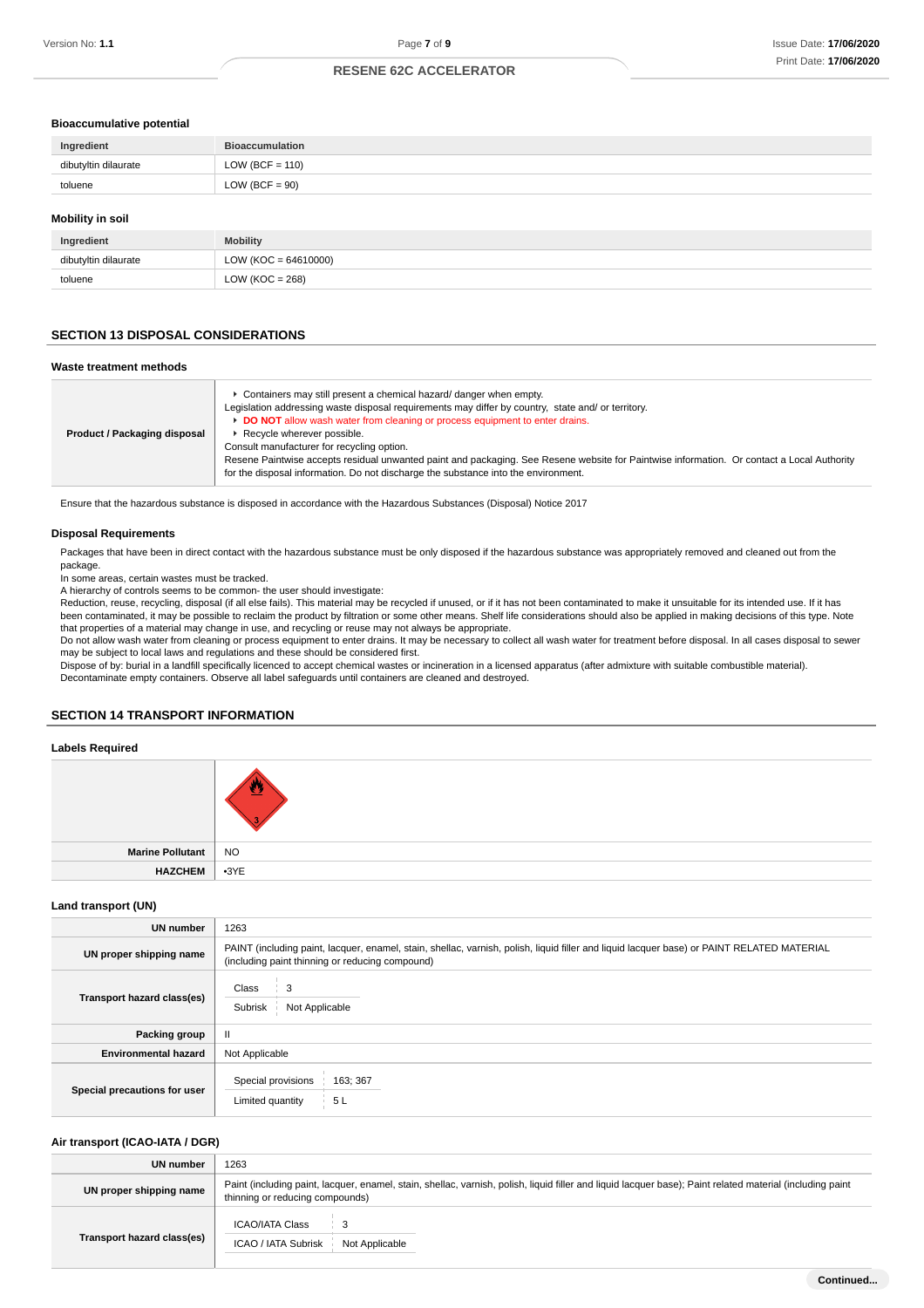#### **Bioaccumulative potential**

| Ingredient              | <b>Bioaccumulation</b> |
|-------------------------|------------------------|
| dibutyltin dilaurate    | LOW (BCF = $110$ )     |
| toluene                 | $LOW (BCF = 90)$       |
| <b>Mobility in soil</b> |                        |

| Ingredient           | <b>Mobility</b>        |
|----------------------|------------------------|
| dibutyltin dilaurate | $LOW (KOC = 64610000)$ |
| toluene              | LOW ( $KOC = 268$ )    |

## **SECTION 13 DISPOSAL CONSIDERATIONS**

### **Waste treatment methods**

| Product / Packaging disposal | ► Containers may still present a chemical hazard/ danger when empty.<br>Legislation addressing waste disposal requirements may differ by country, state and/ or territory.<br>DO NOT allow wash water from cleaning or process equipment to enter drains.<br>Recycle wherever possible.<br>Consult manufacturer for recycling option.<br>Resene Paintwise accepts residual unwanted paint and packaging. See Resene website for Paintwise information. Or contact a Local Authority<br>for the disposal information. Do not discharge the substance into the environment. |
|------------------------------|---------------------------------------------------------------------------------------------------------------------------------------------------------------------------------------------------------------------------------------------------------------------------------------------------------------------------------------------------------------------------------------------------------------------------------------------------------------------------------------------------------------------------------------------------------------------------|
|------------------------------|---------------------------------------------------------------------------------------------------------------------------------------------------------------------------------------------------------------------------------------------------------------------------------------------------------------------------------------------------------------------------------------------------------------------------------------------------------------------------------------------------------------------------------------------------------------------------|

Ensure that the hazardous substance is disposed in accordance with the Hazardous Substances (Disposal) Notice 2017

## **Disposal Requirements**

Packages that have been in direct contact with the hazardous substance must be only disposed if the hazardous substance was appropriately removed and cleaned out from the package.

In some areas, certain wastes must be tracked.

A hierarchy of controls seems to be common- the user should investigate:

Reduction, reuse, recycling, disposal (if all else fails). This material may be recycled if unused, or if it has not been contaminated to make it unsuitable for its intended use. If it has been contaminated, it may be possible to reclaim the product by filtration or some other means. Shelf life considerations should also be applied in making decisions of this type. Note that properties of a material may change in use, and recycling or reuse may not always be appropriate.

Do not allow wash water from cleaning or process equipment to enter drains. It may be necessary to collect all wash water for treatment before disposal. In all cases disposal to sewer may be subject to local laws and regulations and these should be considered first.

Dispose of by: burial in a landfill specifically licenced to accept chemical wastes or incineration in a licensed apparatus (after admixture with suitable combustible material). Decontaminate empty containers. Observe all label safeguards until containers are cleaned and destroyed.

## **SECTION 14 TRANSPORT INFORMATION**

#### **Labels Required**

| Marine Pollutant   NO |  |
|-----------------------|--|
| HAZCHEM 3YE           |  |

## **Land transport (UN)**

| UN number                    | 1263                                                                                                                                                                                          |
|------------------------------|-----------------------------------------------------------------------------------------------------------------------------------------------------------------------------------------------|
| UN proper shipping name      | PAINT (including paint, lacquer, enamel, stain, shellac, varnish, polish, liquid filler and liquid lacquer base) or PAINT RELATED MATERIAL<br>(including paint thinning or reducing compound) |
| Transport hazard class(es)   | Class<br>3<br>Subrisk<br>Not Applicable                                                                                                                                                       |
| Packing group                | $\mathbf{H}$                                                                                                                                                                                  |
| <b>Environmental hazard</b>  | Not Applicable                                                                                                                                                                                |
| Special precautions for user | Special provisions<br>163; 367<br>5L<br>Limited quantity                                                                                                                                      |

#### **Air transport (ICAO-IATA / DGR)**

| UN number                  | 1263                                                                                                                                                                                         |  |
|----------------------------|----------------------------------------------------------------------------------------------------------------------------------------------------------------------------------------------|--|
| UN proper shipping name    | Paint (including paint, lacquer, enamel, stain, shellac, varnish, polish, liquid filler and liquid lacquer base); Paint related material (including paint<br>thinning or reducing compounds) |  |
| Transport hazard class(es) | ICAO/IATA Class<br>3<br>ICAO / IATA Subrisk<br>Not Applicable                                                                                                                                |  |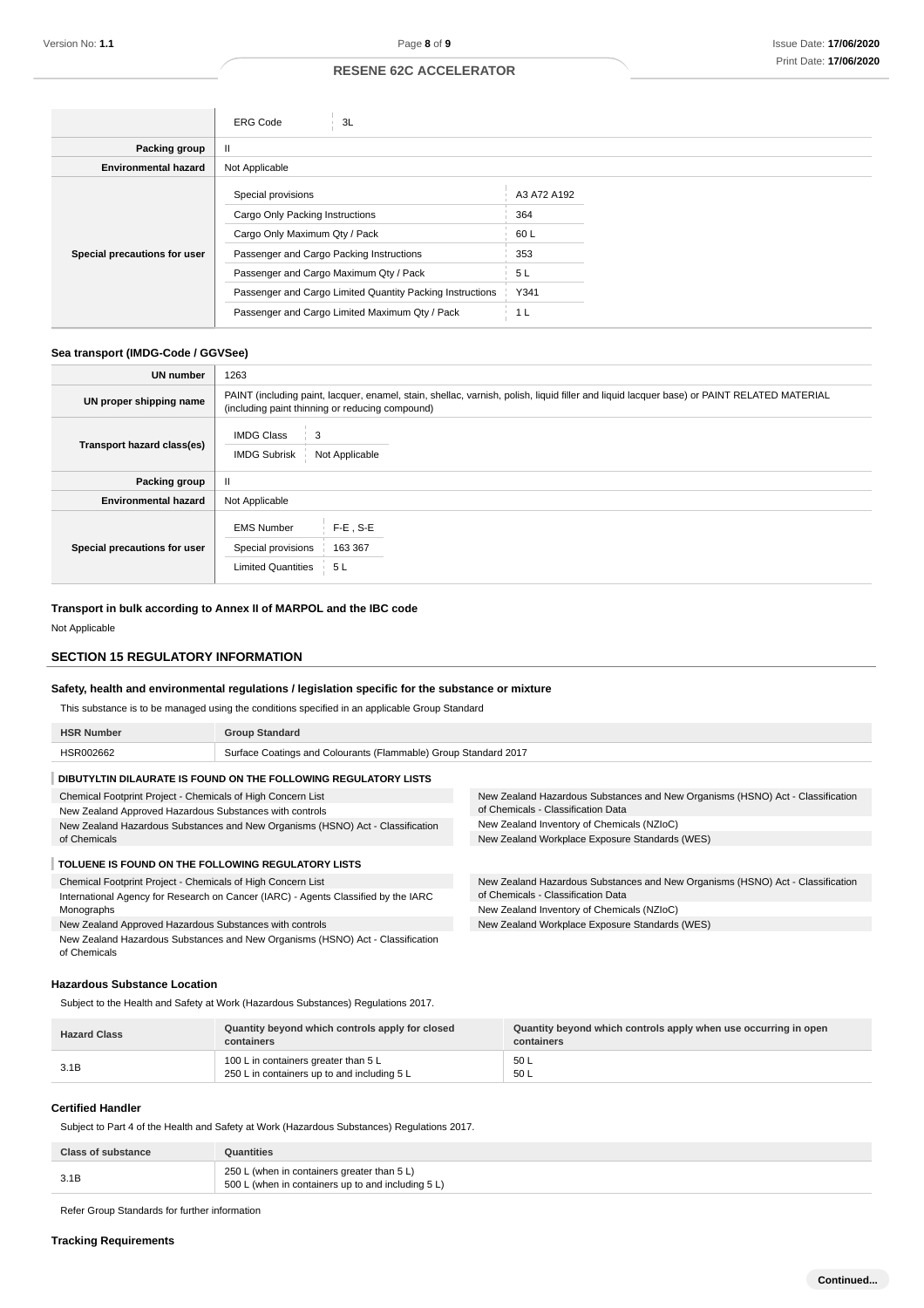|                              | <b>ERG Code</b><br>3L                                     |             |
|------------------------------|-----------------------------------------------------------|-------------|
| Packing group                | Ш                                                         |             |
| <b>Environmental hazard</b>  | Not Applicable                                            |             |
|                              | Special provisions                                        | A3 A72 A192 |
|                              | Cargo Only Packing Instructions                           | 364         |
|                              | Cargo Only Maximum Qty / Pack                             | 60 L        |
| Special precautions for user | Passenger and Cargo Packing Instructions                  | 353         |
|                              | Passenger and Cargo Maximum Qty / Pack                    | 5L          |
|                              | Passenger and Cargo Limited Quantity Packing Instructions | Y341        |
|                              | Passenger and Cargo Limited Maximum Qty / Pack            | 1 L         |

## **Sea transport (IMDG-Code / GGVSee)**

| <b>UN number</b>             | 1263                                                                                                                                                                                          |  |
|------------------------------|-----------------------------------------------------------------------------------------------------------------------------------------------------------------------------------------------|--|
| UN proper shipping name      | PAINT (including paint, lacquer, enamel, stain, shellac, varnish, polish, liquid filler and liquid lacquer base) or PAINT RELATED MATERIAL<br>(including paint thinning or reducing compound) |  |
| Transport hazard class(es)   | <b>IMDG Class</b><br>3<br><b>IMDG Subrisk</b><br>Not Applicable                                                                                                                               |  |
| Packing group                | $\mathbf{II}$                                                                                                                                                                                 |  |
| <b>Environmental hazard</b>  | Not Applicable                                                                                                                                                                                |  |
| Special precautions for user | $F-E$ , S-E<br><b>EMS Number</b><br>Special provisions<br>163 367<br><b>Limited Quantities</b><br>5L                                                                                          |  |

**Transport in bulk according to Annex II of MARPOL and the IBC code** Not Applicable

## **SECTION 15 REGULATORY INFORMATION**

## **Safety, health and environmental regulations / legislation specific for the substance or mixture**

This substance is to be managed using the conditions specified in an applicable Group Standard

| <b>HSR Number</b>                                                                              | <b>Group Standard</b>                                                              |                                                                                |
|------------------------------------------------------------------------------------------------|------------------------------------------------------------------------------------|--------------------------------------------------------------------------------|
| HSR002662                                                                                      | Surface Coatings and Colourants (Flammable) Group Standard 2017                    |                                                                                |
|                                                                                                | DIBUTYLTIN DILAURATE IS FOUND ON THE FOLLOWING REGULATORY LISTS                    |                                                                                |
| Chemical Footprint Project - Chemicals of High Concern List                                    |                                                                                    | New Zealand Hazardous Substances and New Organisms (HSNO) Act - Classification |
| New Zealand Approved Hazardous Substances with controls                                        |                                                                                    | of Chemicals - Classification Data                                             |
| New Zealand Hazardous Substances and New Organisms (HSNO) Act - Classification<br>of Chemicals |                                                                                    | New Zealand Inventory of Chemicals (NZIoC)                                     |
|                                                                                                |                                                                                    | New Zealand Workplace Exposure Standards (WES)                                 |
| TOLUENE IS FOUND ON THE FOLLOWING REGULATORY LISTS                                             |                                                                                    |                                                                                |
| Chemical Footprint Project - Chemicals of High Concern List                                    |                                                                                    | New Zealand Hazardous Substances and New Organisms (HSNO) Act - Classification |
|                                                                                                | International Agency for Research on Cancer (IARC) - Agents Classified by the IARC | of Chemicals - Classification Data                                             |
| Monographs                                                                                     |                                                                                    | New Zealand Inventory of Chemicals (NZIoC)                                     |
| New Zealand Approved Hazardous Substances with controls                                        |                                                                                    | New Zealand Workplace Exposure Standards (WES)                                 |
|                                                                                                | Now Zeeland Hazardaus Cubetanese and Now Organisms (HONO) Ast. Cleapification      |                                                                                |

zardous Substances and New Organisms (HSNO) Act - Classification of Chemicals

#### **Hazardous Substance Location**

Subject to the Health and Safety at Work (Hazardous Substances) Regulations 2017.

| <b>Hazard Class</b> | Quantity beyond which controls apply for closed<br>containers                       | Quantity beyond which controls apply when use occurring in open<br>containers |
|---------------------|-------------------------------------------------------------------------------------|-------------------------------------------------------------------------------|
| 3.1B                | 100 L in containers greater than 5 L<br>250 L in containers up to and including 5 L | 50 L<br>50 L                                                                  |

#### **Certified Handler**

Subject to Part 4 of the Health and Safety at Work (Hazardous Substances) Regulations 2017.

| Class of substance | Quantities                                                                                        |
|--------------------|---------------------------------------------------------------------------------------------------|
|                    | 250 L (when in containers greater than 5 L)<br>500 L (when in containers up to and including 5 L) |

Refer Group Standards for further information